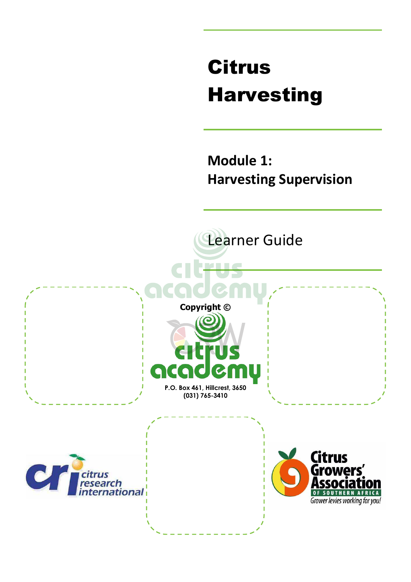# Citrus Harvesting

### **Module 1: Harvesting Supervision**

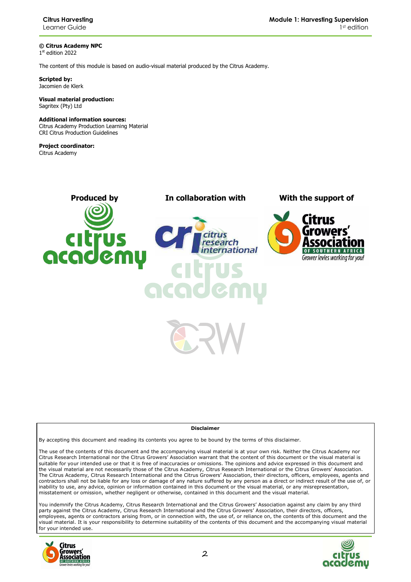**© Citrus Academy NPC**  1 st edition 2022

The content of this module is based on audio-visual material produced by the Citrus Academy.

**Scripted by:**  Jacomien de Klerk

**Visual material production:**  Sagritex (Pty) Ltd

#### **Additional information sources:**

Citrus Academy Production Learning Material CRI Citrus Production Guidelines

**Project coordinator:** Citrus Academy

**Produced by In collaboration with With the support of** ernational rcade



#### **Disclaimer**

By accepting this document and reading its contents you agree to be bound by the terms of this disclaimer.

The use of the contents of this document and the accompanying visual material is at your own risk. Neither the Citrus Academy nor Citrus Research International nor the Citrus Growers' Association warrant that the content of this document or the visual material is suitable for your intended use or that it is free of inaccuracies or omissions. The opinions and advice expressed in this document and the visual material are not necessarily those of the Citrus Academy, Citrus Research International or the Citrus Growers' Association. The Citrus Academy, Citrus Research International and the Citrus Growers' Association, their directors, officers, employees, agents and contractors shall not be liable for any loss or damage of any nature suffered by any person as a direct or indirect result of the use of, or inability to use, any advice, opinion or information contained in this document or the visual material, or any misrepresentation, misstatement or omission, whether negligent or otherwise, contained in this document and the visual material.

You indemnify the Citrus Academy, Citrus Research International and the Citrus Growers' Association against any claim by any third party against the Citrus Academy, Citrus Research International and the Citrus Growers' Association, their directors, officers, employees, agents or contractors arising from, or in connection with, the use of, or reliance on, the contents of this document and the visual material. It is your responsibility to determine suitability of the contents of this document and the accompanying visual material for your intended use.



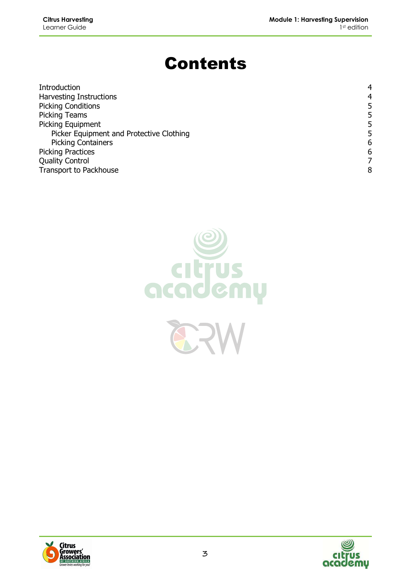## Contents

| Introduction                             |   |
|------------------------------------------|---|
| <b>Harvesting Instructions</b>           | 4 |
| <b>Picking Conditions</b>                | 5 |
| <b>Picking Teams</b>                     | 5 |
| Picking Equipment                        | 5 |
| Picker Equipment and Protective Clothing | 5 |
| <b>Picking Containers</b>                | 6 |
| <b>Picking Practices</b>                 | 6 |
| <b>Quality Control</b>                   |   |
| Transport to Packhouse                   | 8 |





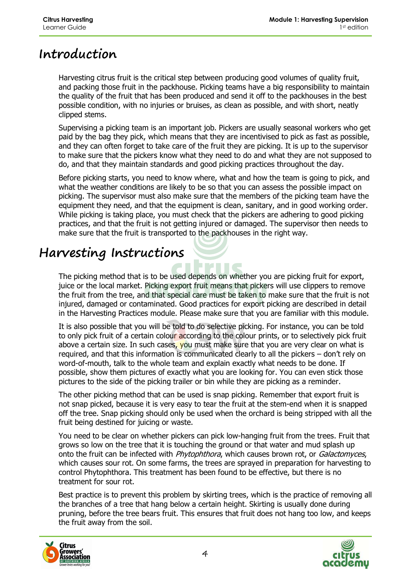#### **Introduction**

Harvesting citrus fruit is the critical step between producing good volumes of quality fruit, and packing those fruit in the packhouse. Picking teams have a big responsibility to maintain the quality of the fruit that has been produced and send it off to the packhouses in the best possible condition, with no injuries or bruises, as clean as possible, and with short, neatly clipped stems.

Supervising a picking team is an important job. Pickers are usually seasonal workers who get paid by the bag they pick, which means that they are incentivised to pick as fast as possible, and they can often forget to take care of the fruit they are picking. It is up to the supervisor to make sure that the pickers know what they need to do and what they are not supposed to do, and that they maintain standards and good picking practices throughout the day.

Before picking starts, you need to know where, what and how the team is going to pick, and what the weather conditions are likely to be so that you can assess the possible impact on picking. The supervisor must also make sure that the members of the picking team have the equipment they need, and that the equipment is clean, sanitary, and in good working order. While picking is taking place, you must check that the pickers are adhering to good picking practices, and that the fruit is not getting injured or damaged. The supervisor then needs to make sure that the fruit is transported to the packhouses in the right way.

#### **Harvesting Instructions**

The picking method that is to be used depends on whether you are picking fruit for export, juice or the local market. Picking export fruit means that pickers will use clippers to remove the fruit from the tree, and that special care must be taken to make sure that the fruit is not injured, damaged or contaminated. Good practices for export picking are described in detail in the Harvesting Practices module. Please make sure that you are familiar with this module.

It is also possible that you will be told to do selective picking. For instance, you can be told to only pick fruit of a certain colour according to the colour prints, or to selectively pick fruit above a certain size. In such cases, you must make sure that you are very clear on what is required, and that this information is communicated clearly to all the pickers – don't rely on word-of-mouth, talk to the whole team and explain exactly what needs to be done. If possible, show them pictures of exactly what you are looking for. You can even stick those pictures to the side of the picking trailer or bin while they are picking as a reminder.

The other picking method that can be used is snap picking. Remember that export fruit is not snap picked, because it is very easy to tear the fruit at the stem-end when it is snapped off the tree. Snap picking should only be used when the orchard is being stripped with all the fruit being destined for juicing or waste.

You need to be clear on whether pickers can pick low-hanging fruit from the trees. Fruit that grows so low on the tree that it is touching the ground or that water and mud splash up onto the fruit can be infected with Phytophthora, which causes brown rot, or Galactomyces, which causes sour rot. On some farms, the trees are sprayed in preparation for harvesting to control Phytophthora. This treatment has been found to be effective, but there is no treatment for sour rot.

Best practice is to prevent this problem by skirting trees, which is the practice of removing all the branches of a tree that hang below a certain height. Skirting is usually done during pruning, before the tree bears fruit. This ensures that fruit does not hang too low, and keeps the fruit away from the soil.



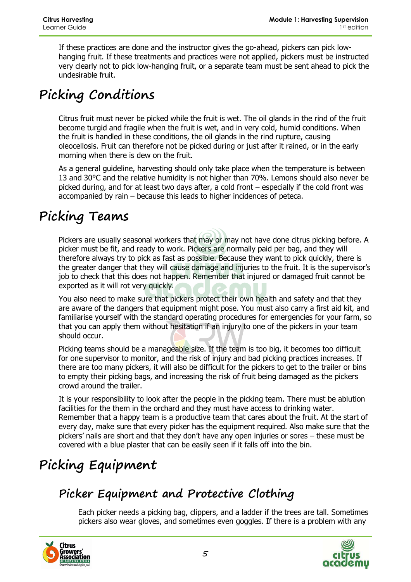If these practices are done and the instructor gives the go-ahead, pickers can pick lowhanging fruit. If these treatments and practices were not applied, pickers must be instructed very clearly not to pick low-hanging fruit, or a separate team must be sent ahead to pick the undesirable fruit.

## **Picking Conditions**

Citrus fruit must never be picked while the fruit is wet. The oil glands in the rind of the fruit become turgid and fragile when the fruit is wet, and in very cold, humid conditions. When the fruit is handled in these conditions, the oil glands in the rind rupture, causing oleocellosis. Fruit can therefore not be picked during or just after it rained, or in the early morning when there is dew on the fruit.

As a general guideline, harvesting should only take place when the temperature is between 13 and 30°C and the relative humidity is not higher than 70%. Lemons should also never be picked during, and for at least two days after, a cold front – especially if the cold front was accompanied by rain – because this leads to higher incidences of peteca.

#### **Picking Teams**

Pickers are usually seasonal workers that may or may not have done citrus picking before. A picker must be fit, and ready to work. Pickers are normally paid per bag, and they will therefore always try to pick as fast as possible. Because they want to pick quickly, there is the greater danger that they will cause damage and injuries to the fruit. It is the supervisor's job to check that this does not happen. Remember that injured or damaged fruit cannot be exported as it will rot very quickly.

You also need to make sure that pickers protect their own health and safety and that they are aware of the dangers that equipment might pose. You must also carry a first aid kit, and familiarise yourself with the standard operating procedures for emergencies for your farm, so that you can apply them without hesitation if an injury to one of the pickers in your team should occur.

Picking teams should be a manageable size. If the team is too big, it becomes too difficult for one supervisor to monitor, and the risk of injury and bad picking practices increases. If there are too many pickers, it will also be difficult for the pickers to get to the trailer or bins to empty their picking bags, and increasing the risk of fruit being damaged as the pickers crowd around the trailer.

It is your responsibility to look after the people in the picking team. There must be ablution facilities for the them in the orchard and they must have access to drinking water. Remember that a happy team is a productive team that cares about the fruit. At the start of every day, make sure that every picker has the equipment required. Also make sure that the pickers' nails are short and that they don't have any open injuries or sores – these must be covered with a blue plaster that can be easily seen if it falls off into the bin.

## **Picking Equipment**

#### **Picker Equipment and Protective Clothing**

Each picker needs a picking bag, clippers, and a ladder if the trees are tall. Sometimes pickers also wear gloves, and sometimes even goggles. If there is a problem with any



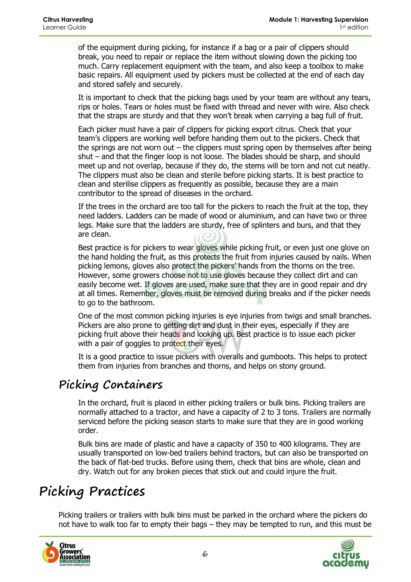of the equipment during picking, for instance if a bag or a pair of clippers should break, you need to repair or replace the item without slowing down the picking too much. Carry replacement equipment with the team, and also keep a toolbox to make basic repairs. All equipment used by pickers must be collected at the end of each day and stored safely and securely.

It is important to check that the picking bags used by your team are without any tears, rips or holes. Tears or holes must be fixed with thread and never with wire. Also check that the straps are sturdy and that they won't break when carrying a bag full of fruit.

Each picker must have a pair of clippers for picking export citrus. Check that your team's clippers are working well before handing them out to the pickers. Check that the springs are not worn out – the clippers must spring open by themselves after being shut – and that the finger loop is not loose. The blades should be sharp, and should meet up and not overlap, because if they do, the stems will be torn and not cut neatly. The clippers must also be clean and sterile before picking starts. It is best practice to clean and sterilise clippers as frequently as possible, because they are a main contributor to the spread of diseases in the orchard.

If the trees in the orchard are too tall for the pickers to reach the fruit at the top, they need ladders. Ladders can be made of wood or aluminium, and can have two or three legs. Make sure that the ladders are sturdy, free of splinters and burs, and that they are clean.

Best practice is for pickers to wear gloves while picking fruit, or even just one glove on the hand holding the fruit, as this protects the fruit from injuries caused by nails. When picking lemons, gloves also protect the pickers' hands from the thorns on the tree. However, some growers choose not to use gloves because they collect dirt and can easily become wet. If gloves are used, make sure that they are in good repair and dry at all times. Remember, gloves must be removed during breaks and if the picker needs to go to the bathroom.

One of the most common picking injuries is eye injuries from twigs and small branches. Pickers are also prone to getting dirt and dust in their eyes, especially if they are picking fruit above their heads and looking up. Best practice is to issue each picker with a pair of goggles to protect their eyes.

It is a good practice to issue pickers with overalls and gumboots. This helps to protect them from injuries from branches and thorns, and helps on stony ground.

#### **Picking Containers**

In the orchard, fruit is placed in either picking trailers or bulk bins. Picking trailers are normally attached to a tractor, and have a capacity of 2 to 3 tons. Trailers are normally serviced before the picking season starts to make sure that they are in good working order.

Bulk bins are made of plastic and have a capacity of 350 to 400 kilograms. They are usually transported on low-bed trailers behind tractors, but can also be transported on the back of flat-bed trucks. Before using them, check that bins are whole, clean and dry. Watch out for any broken pieces that stick out and could injure the fruit.

#### **Picking Practices**

Picking trailers or trailers with bulk bins must be parked in the orchard where the pickers do not have to walk too far to empty their bags – they may be tempted to run, and this must be



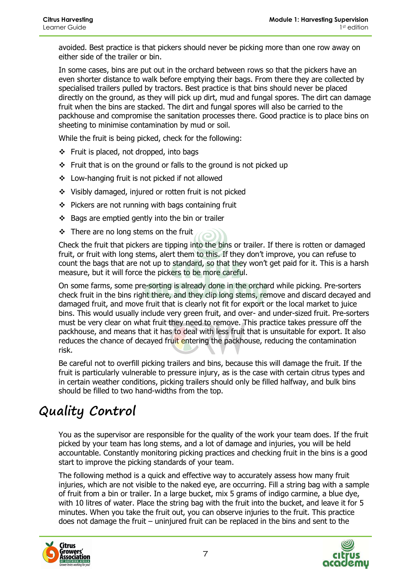avoided. Best practice is that pickers should never be picking more than one row away on either side of the trailer or bin.

In some cases, bins are put out in the orchard between rows so that the pickers have an even shorter distance to walk before emptying their bags. From there they are collected by specialised trailers pulled by tractors. Best practice is that bins should never be placed directly on the ground, as they will pick up dirt, mud and fungal spores. The dirt can damage fruit when the bins are stacked. The dirt and fungal spores will also be carried to the packhouse and compromise the sanitation processes there. Good practice is to place bins on sheeting to minimise contamination by mud or soil.

While the fruit is being picked, check for the following:

- $\div$  Fruit is placed, not dropped, into bags
- $\div$  Fruit that is on the ground or falls to the ground is not picked up
- Low-hanging fruit is not picked if not allowed
- $\div$  Visibly damaged, injured or rotten fruit is not picked
- $\div$  Pickers are not running with bags containing fruit
- $\div$  Bags are emptied gently into the bin or trailer
- $\div$  There are no long stems on the fruit

Check the fruit that pickers are tipping into the bins or trailer. If there is rotten or damaged fruit, or fruit with long stems, alert them to this. If they don't improve, you can refuse to count the bags that are not up to standard, so that they won't get paid for it. This is a harsh measure, but it will force the pickers to be more careful.

On some farms, some pre-sorting is already done in the orchard while picking. Pre-sorters check fruit in the bins right there, and they clip long stems, remove and discard decayed and damaged fruit, and move fruit that is clearly not fit for export or the local market to juice bins. This would usually include very green fruit, and over- and under-sized fruit. Pre-sorters must be very clear on what fruit they need to remove. This practice takes pressure off the packhouse, and means that it has to deal with less fruit that is unsuitable for export. It also reduces the chance of decayed fruit entering the packhouse, reducing the contamination risk.

Be careful not to overfill picking trailers and bins, because this will damage the fruit. If the fruit is particularly vulnerable to pressure injury, as is the case with certain citrus types and in certain weather conditions, picking trailers should only be filled halfway, and bulk bins should be filled to two hand-widths from the top.

#### **Quality Control**

You as the supervisor are responsible for the quality of the work your team does. If the fruit picked by your team has long stems, and a lot of damage and injuries, you will be held accountable. Constantly monitoring picking practices and checking fruit in the bins is a good start to improve the picking standards of your team.

The following method is a quick and effective way to accurately assess how many fruit injuries, which are not visible to the naked eye, are occurring. Fill a string bag with a sample of fruit from a bin or trailer. In a large bucket, mix 5 grams of indigo carmine, a blue dye, with 10 litres of water. Place the string bag with the fruit into the bucket, and leave it for 5 minutes. When you take the fruit out, you can observe injuries to the fruit. This practice does not damage the fruit – uninjured fruit can be replaced in the bins and sent to the